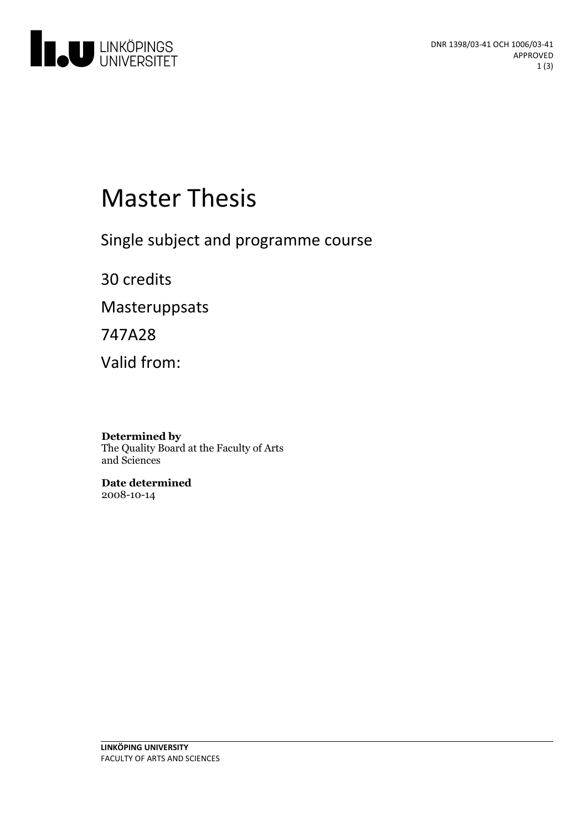

# **Master Thesis**

Single subject and programme course

30 credits

Masteruppsats

747A28

Valid from:

**Determined by** The Quality Board at the Faculty of Arts and Sciences

**Date determined** 2008-10-14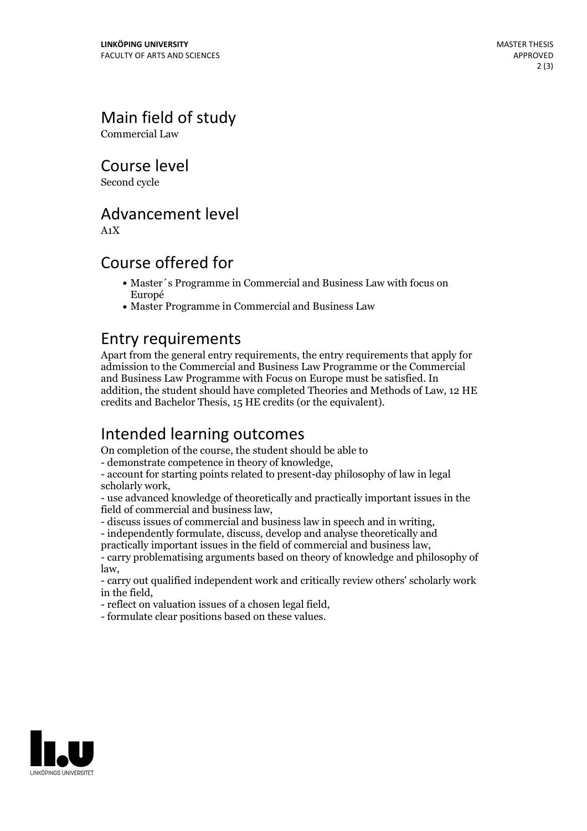## Main field of study

Commercial Law

Course level

Second cycle

#### Advancement level

A1X

#### Course offered for

- Master´s Programme in Commercial and Business Law with focus on Europé
- Master Programme in Commercial and Business Law

#### Entry requirements

Apart from the general entry requirements, the entry requirements that apply for admission to the Commercial and Business Law Programme or the Commercial and Business Law Programme with Focus on Europe must be satisfied. In addition, the student should have completed Theories and Methods of Law, 12 HE credits and Bachelor Thesis, 15 HE credits (or the equivalent).

#### Intended learning outcomes

On completion of the course, the student should be able to

- demonstrate competence in theory of knowledge, - account for starting points related to present-day philosophy of law in legal scholarly work,<br>- use advanced knowledge of theoretically and practically important issues in the

field of commercial and business law,<br>- discuss issues of commercial and business law in speech and in writing,<br>- independently formulate, discuss, develop and analyse theoretically and<br>practically important issues in the

- carry problematising arguments based on theory of knowledge and philosophy of

law, - carry out qualified independent work and critically review others' scholarly work

in the field, - reflect on valuation issues of <sup>a</sup> chosen legal field, - formulate clear positions based on these values.